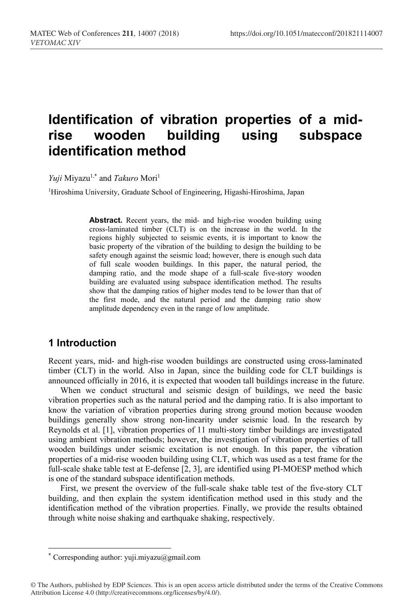# **Identification of vibration properties of a midrise wooden building using subspace identification method**

*Yuji* Miyazu<sup>1,\*</sup> and *Takuro* Mori<sup>1</sup>

<sup>1</sup>Hiroshima University, Graduate School of Engineering, Higashi-Hiroshima, Japan

**Abstract.** Recent years, the mid- and high-rise wooden building using cross-laminated timber (CLT) is on the increase in the world. In the regions highly subjected to seismic events, it is important to know the basic property of the vibration of the building to design the building to be safety enough against the seismic load; however, there is enough such data of full scale wooden buildings. In this paper, the natural period, the damping ratio, and the mode shape of a full-scale five-story wooden building are evaluated using subspace identification method. The results show that the damping ratios of higher modes tend to be lower than that of the first mode, and the natural period and the damping ratio show amplitude dependency even in the range of low amplitude.

## **1 Introduction**

 $\overline{a}$ 

Recent years, mid- and high-rise wooden buildings are constructed using cross-laminated timber (CLT) in the world. Also in Japan, since the building code for CLT buildings is announced officially in 2016, it is expected that wooden tall buildings increase in the future.

When we conduct structural and seismic design of buildings, we need the basic vibration properties such as the natural period and the damping ratio. It is also important to know the variation of vibration properties during strong ground motion because wooden buildings generally show strong non-linearity under seismic load. In the research by Reynolds et al. [1], vibration properties of 11 multi-story timber buildings are investigated using ambient vibration methods; however, the investigation of vibration properties of tall wooden buildings under seismic excitation is not enough. In this paper, the vibration properties of a mid-rise wooden building using CLT, which was used as a test frame for the full-scale shake table test at E-defense [2, 3], are identified using PI-MOESP method which is one of the standard subspace identification methods.

First, we present the overview of the full-scale shake table test of the five-story CLT building, and then explain the system identification method used in this study and the identification method of the vibration properties. Finally, we provide the results obtained through white noise shaking and earthquake shaking, respectively.

<sup>\*</sup> Corresponding author: yuji.miyazu@gmail.com

<sup>©</sup> The Authors, published by EDP Sciences. This is an open access article distributed under the terms of the Creative Commons Attribution License 4.0 (http://creativecommons.org/licenses/by/4.0/).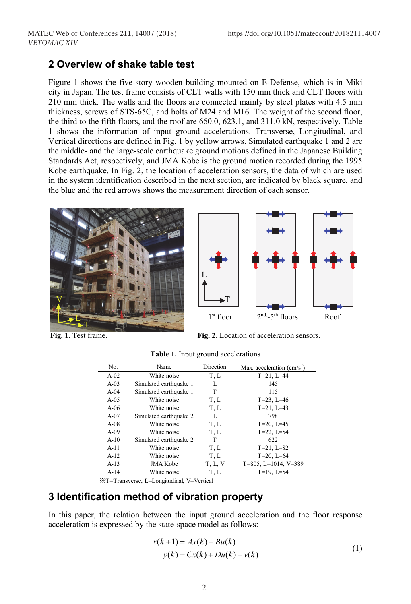### **2 Overview of shake table test**

Figure 1 shows the five-story wooden building mounted on E-Defense, which is in Miki city in Japan. The test frame consists of CLT walls with 150 mm thick and CLT floors with 210 mm thick. The walls and the floors are connected mainly by steel plates with 4.5 mm thickness, screws of STS-65C, and bolts of M24 and M16. The weight of the second floor, the third to the fifth floors, and the roof are 660.0, 623.1, and 311.0 kN, respectively. Table 1 shows the information of input ground accelerations. Transverse, Longitudinal, and Vertical directions are defined in Fig. 1 by yellow arrows. Simulated earthquake 1 and 2 are the middle- and the large-scale earthquake ground motions defined in the Japanese Building Standards Act, respectively, and JMA Kobe is the ground motion recorded during the 1995 Kobe earthquake. In Fig. 2, the location of acceleration sensors, the data of which are used in the system identification described in the next section, are indicated by black square, and the blue and the red arrows shows the measurement direction of each sensor.



**Fig. 1.** Test frame. **Fig. 2.** Location of acceleration sensors.

| No.    | Name                   | Direction | Max. acceleration $\text{(cm/s)}$ |
|--------|------------------------|-----------|-----------------------------------|
| $A-02$ | White noise            | T, L      | $T=21$ , $L=44$                   |
| $A-03$ | Simulated earthquake 1 | L         | 145                               |
| $A-04$ | Simulated earthquake 1 | T         | 115                               |
| $A-05$ | White noise            | T, L      | $T=23$ , $L=46$                   |
| $A-06$ | White noise            | T, L      | $T=21, L=43$                      |
| $A-07$ | Simulated earthquake 2 | L         | 798                               |
| $A-08$ | White noise            | T, L      | $T=20$ , $L=45$                   |
| $A-09$ | White noise            | T, L      | $T=22, L=54$                      |
| $A-10$ | Simulated earthquake 2 | T         | 622                               |
| $A-11$ | White noise            | T, L      | $T=21, L=82$                      |
| $A-12$ | White noise            | T, L      | $T=20$ , $L=64$                   |
| $A-13$ | <b>JMA Kobe</b>        | T, L, V   | $T=805$ , $L=1014$ , $V=389$      |
| $A-14$ | White noise            | T. L      | $T=19$ , $L=54$                   |

**Table 1.** Input ground accelerations

※T=Transverse, L=Longitudinal, V=Vertical

## **3 Identification method of vibration property**

In this paper, the relation between the input ground acceleration and the floor response acceleration is expressed by the state-space model as follows:

$$
x(k+1) = Ax(k) + Bu(k)
$$
  
\n
$$
y(k) = Cx(k) + Du(k) + v(k)
$$
\n(1)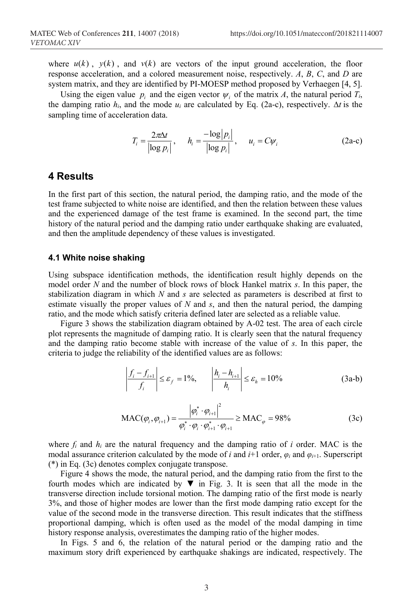where  $u(k)$ ,  $y(k)$ , and  $v(k)$  are vectors of the input ground acceleration, the floor response acceleration, and a colored measurement noise, respectively. *A*, *B*, *C*, and *D* are system matrix, and they are identified by PI-MOESP method proposed by Verhaegen [4, 5].

Using the eigen value  $p_i$  and the eigen vector  $\psi_i$  of the matrix *A*, the natural period  $T_i$ , the damping ratio  $h_i$ , and the mode  $u_i$  are calculated by Eq. (2a-c), respectively.  $\Delta t$  is the sampling time of acceleration data.

$$
T_i = \frac{2\pi\Delta t}{\left|\log p_i\right|}, \qquad h_i = \frac{-\log|p_i|}{\left|\log p_i\right|}, \qquad u_i = C\psi_i \tag{2a-c}
$$

#### **4 Results**

In the first part of this section, the natural period, the damping ratio, and the mode of the test frame subjected to white noise are identified, and then the relation between these values and the experienced damage of the test frame is examined. In the second part, the time history of the natural period and the damping ratio under earthquake shaking are evaluated, and then the amplitude dependency of these values is investigated.

#### **4.1 White noise shaking**

Using subspace identification methods, the identification result highly depends on the model order *N* and the number of block rows of block Hankel matrix *s*. In this paper, the stabilization diagram in which *N* and *s* are selected as parameters is described at first to estimate visually the proper values of *N* and *s*, and then the natural period, the damping ratio, and the mode which satisfy criteria defined later are selected as a reliable value.

Figure 3 shows the stabilization diagram obtained by A-02 test. The area of each circle plot represents the magnitude of damping ratio. It is clearly seen that the natural frequency and the damping ratio become stable with increase of the value of *s*. In this paper, the criteria to judge the reliability of the identified values are as follows:

$$
\left|\frac{f_i - f_{i+1}}{f_i}\right| \le \varepsilon_f = 1\%, \qquad \left|\frac{h_i - h_{i+1}}{h_i}\right| \le \varepsilon_h = 10\% \tag{3a-b}
$$

$$
\text{MAC}(\varphi_{i}, \varphi_{i+1}) = \frac{\left|\varphi_{i}^{*} \cdot \varphi_{i+1}\right|^{2}}{\varphi_{i}^{*} \cdot \varphi_{i} \cdot \varphi_{i+1}^{*} \cdot \varphi_{i+1}} \ge \text{MAC}_{\varphi} = 98\%
$$
(3c)

where  $f_i$  and  $h_i$  are the natural frequency and the damping ratio of  $i$  order. MAC is the modal assurance criterion calculated by the mode of *i* and  $i+1$  order,  $\varphi_i$  and  $\varphi_{i+1}$ . Superscript (\*) in Eq. (3c) denotes complex conjugate transpose.

Figure 4 shows the mode, the natural period, and the damping ratio from the first to the fourth modes which are indicated by  $\nabla$  in Fig. 3. It is seen that all the mode in the transverse direction include torsional motion. The damping ratio of the first mode is nearly 3%, and those of higher modes are lower than the first mode damping ratio except for the value of the second mode in the transverse direction. This result indicates that the stiffness proportional damping, which is often used as the model of the modal damping in time history response analysis, overestimates the damping ratio of the higher modes.

In Figs. 5 and 6, the relation of the natural period or the damping ratio and the maximum story drift experienced by earthquake shakings are indicated, respectively. The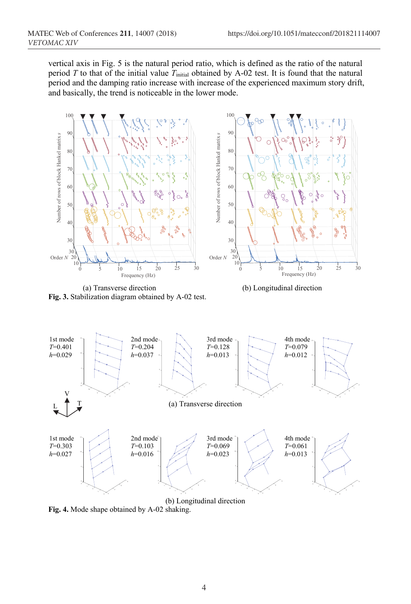vertical axis in Fig. 5 is the natural period ratio, which is defined as the ratio of the natural period  $T$  to that of the initial value  $T<sub>initial</sub>$  obtained by A-02 test. It is found that the natural period and the damping ratio increase with increase of the experienced maximum story drift, and basically, the trend is noticeable in the lower mode.



 (a) Transverse direction (b) Longitudinal direction **Fig. 3.** Stabilization diagram obtained by A-02 test.



**Fig. 4.** Mode shape obtained by A-02 shaking.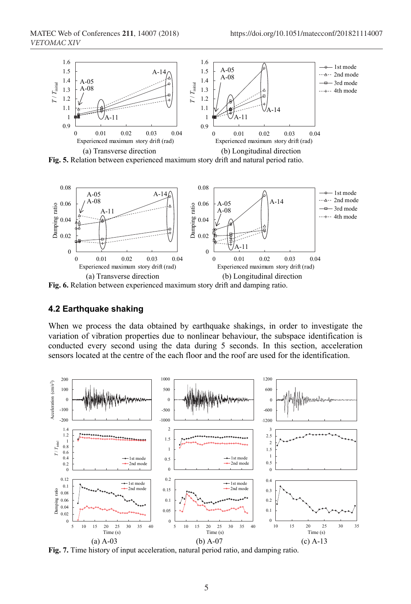

**Fig. 5.** Relation between experienced maximum story drift and natural period ratio.



**Fig. 6.** Relation between experienced maximum story drift and damping ratio.

#### **4.2 Earthquake shaking**

When we process the data obtained by earthquake shakings, in order to investigate the variation of vibration properties due to nonlinear behaviour, the subspace identification is conducted every second using the data during 5 seconds. In this section, acceleration sensors located at the centre of the each floor and the roof are used for the identification.



**Fig. 7.** Time history of input acceleration, natural period ratio, and damping ratio.